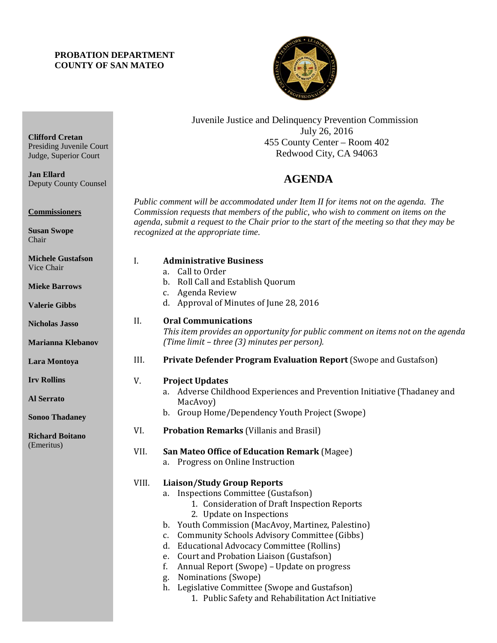### **PROBATION DEPARTMENT COUNTY OF SAN MATEO**

**Clifford Cretan**

**Commissioners**

**Susan Swope** Chair

**Jan Ellard**

Presiding Juvenile Court Judge, Superior Court

Deputy County Counsel



Juvenile Justice and Delinquency Prevention Commission July 26, 2016 455 County Center – Room 402 Redwood City, CA 94063

## **AGENDA**

*Public comment will be accommodated under Item II for items not on the agenda. The Commission requests that members of the public, who wish to comment on items on the agenda, submit a request to the Chair prior to the start of the meeting so that they may be recognized at the appropriate time.* 

| <b>Michele Gustafson</b><br>Vice Chair<br><b>Mieke Barrows</b><br><b>Valerie Gibbs</b> | I.          | <b>Administrative Business</b><br>Call to Order<br>a.<br>b. Roll Call and Establish Quorum<br>c. Agenda Review<br>d. Approval of Minutes of June 28, 2016                                                                                                                                                                                                                                                                                                                                                                                                |
|----------------------------------------------------------------------------------------|-------------|----------------------------------------------------------------------------------------------------------------------------------------------------------------------------------------------------------------------------------------------------------------------------------------------------------------------------------------------------------------------------------------------------------------------------------------------------------------------------------------------------------------------------------------------------------|
| <b>Nicholas Jasso</b><br>Marianna Klebanov                                             | II.         | <b>Oral Communications</b><br>This item provides an opportunity for public comment on items not on the agenda<br>(Time limit - three (3) minutes per person).                                                                                                                                                                                                                                                                                                                                                                                            |
| Lara Montoya                                                                           | III.        | Private Defender Program Evaluation Report (Swope and Gustafson)                                                                                                                                                                                                                                                                                                                                                                                                                                                                                         |
| <b>Irv Rollins</b><br><b>Al Serrato</b><br><b>Sonoo Thadaney</b>                       | V.          | <b>Project Updates</b><br>a. Adverse Childhood Experiences and Prevention Initiative (Thadaney and<br>MacAvoy)<br>b. Group Home/Dependency Youth Project (Swope)                                                                                                                                                                                                                                                                                                                                                                                         |
| <b>Richard Boitano</b><br>(Emeritus)                                                   | VI.<br>VII. | <b>Probation Remarks (Villanis and Brasil)</b><br>San Mateo Office of Education Remark (Magee)<br>a. Progress on Online Instruction                                                                                                                                                                                                                                                                                                                                                                                                                      |
|                                                                                        | VIII.       | <b>Liaison/Study Group Reports</b><br>a. Inspections Committee (Gustafson)<br>1. Consideration of Draft Inspection Reports<br>2. Update on Inspections<br>b. Youth Commission (MacAvoy, Martinez, Palestino)<br>c. Community Schools Advisory Committee (Gibbs)<br>d. Educational Advocacy Committee (Rollins)<br>Court and Probation Liaison (Gustafson)<br>e.<br>Annual Report (Swope) - Update on progress<br>f.<br>Nominations (Swope)<br>g.<br>h. Legislative Committee (Swope and Gustafson)<br>1. Public Safety and Rehabilitation Act Initiative |